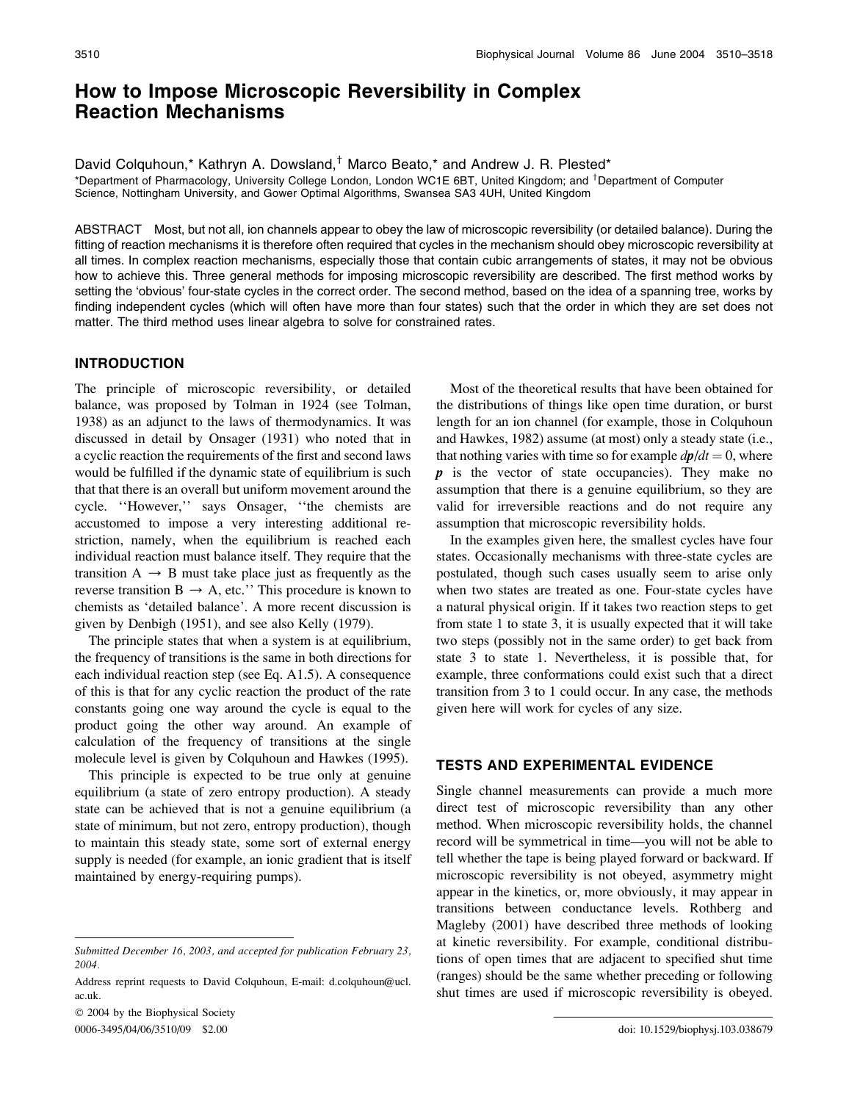# How to Impose Microscopic Reversibility in Complex Reaction Mechanisms

David Colquhoun,\* Kathryn A. Dowsland, $^{\dagger}$  Marco Beato,\* and Andrew J. R. Plested\* \*Department of Pharmacology, University College London, London WC1E 6BT, United Kingdom; and <sup>†</sup>Department of Computer Science, Nottingham University, and Gower Optimal Algorithms, Swansea SA3 4UH, United Kingdom

ABSTRACT Most, but not all, ion channels appear to obey the law of microscopic reversibility (or detailed balance). During the fitting of reaction mechanisms it is therefore often required that cycles in the mechanism should obey microscopic reversibility at all times. In complex reaction mechanisms, especially those that contain cubic arrangements of states, it may not be obvious how to achieve this. Three general methods for imposing microscopic reversibility are described. The first method works by setting the 'obvious' four-state cycles in the correct order. The second method, based on the idea of a spanning tree, works by finding independent cycles (which will often have more than four states) such that the order in which they are set does not matter. The third method uses linear algebra to solve for constrained rates.

#### INTRODUCTION

The principle of microscopic reversibility, or detailed balance, was proposed by Tolman in 1924 (see Tolman, 1938) as an adjunct to the laws of thermodynamics. It was discussed in detail by Onsager (1931) who noted that in a cyclic reaction the requirements of the first and second laws would be fulfilled if the dynamic state of equilibrium is such that that there is an overall but uniform movement around the cycle. ''However,'' says Onsager, ''the chemists are accustomed to impose a very interesting additional restriction, namely, when the equilibrium is reached each individual reaction must balance itself. They require that the transition  $A \rightarrow B$  must take place just as frequently as the reverse transition  $B \rightarrow A$ , etc." This procedure is known to chemists as 'detailed balance'. A more recent discussion is given by Denbigh (1951), and see also Kelly (1979).

The principle states that when a system is at equilibrium, the frequency of transitions is the same in both directions for each individual reaction step (see Eq. A1.5). A consequence of this is that for any cyclic reaction the product of the rate constants going one way around the cycle is equal to the product going the other way around. An example of calculation of the frequency of transitions at the single molecule level is given by Colquhoun and Hawkes (1995).

This principle is expected to be true only at genuine equilibrium (a state of zero entropy production). A steady state can be achieved that is not a genuine equilibrium (a state of minimum, but not zero, entropy production), though to maintain this steady state, some sort of external energy supply is needed (for example, an ionic gradient that is itself maintained by energy-requiring pumps).

 2004 by the Biophysical Society 0006-3495/04/06/3510/09 \$2.00 doi: 10.1529/biophysj.103.038679

Most of the theoretical results that have been obtained for the distributions of things like open time duration, or burst length for an ion channel (for example, those in Colquhoun and Hawkes, 1982) assume (at most) only a steady state (i.e., that nothing varies with time so for example  $dp/dt = 0$ , where  $p$  is the vector of state occupancies). They make no assumption that there is a genuine equilibrium, so they are valid for irreversible reactions and do not require any assumption that microscopic reversibility holds.

In the examples given here, the smallest cycles have four states. Occasionally mechanisms with three-state cycles are postulated, though such cases usually seem to arise only when two states are treated as one. Four-state cycles have a natural physical origin. If it takes two reaction steps to get from state 1 to state 3, it is usually expected that it will take two steps (possibly not in the same order) to get back from state 3 to state 1. Nevertheless, it is possible that, for example, three conformations could exist such that a direct transition from 3 to 1 could occur. In any case, the methods given here will work for cycles of any size.

### TESTS AND EXPERIMENTAL EVIDENCE

Single channel measurements can provide a much more direct test of microscopic reversibility than any other method. When microscopic reversibility holds, the channel record will be symmetrical in time—you will not be able to tell whether the tape is being played forward or backward. If microscopic reversibility is not obeyed, asymmetry might appear in the kinetics, or, more obviously, it may appear in transitions between conductance levels. Rothberg and Magleby (2001) have described three methods of looking at kinetic reversibility. For example, conditional distributions of open times that are adjacent to specified shut time (ranges) should be the same whether preceding or following shut times are used if microscopic reversibility is obeyed.

Submitted December 16, 2003, and accepted for publication February 23, 2004.

Address reprint requests to David Colquhoun, E-mail: d.colquhoun@ucl. ac.uk.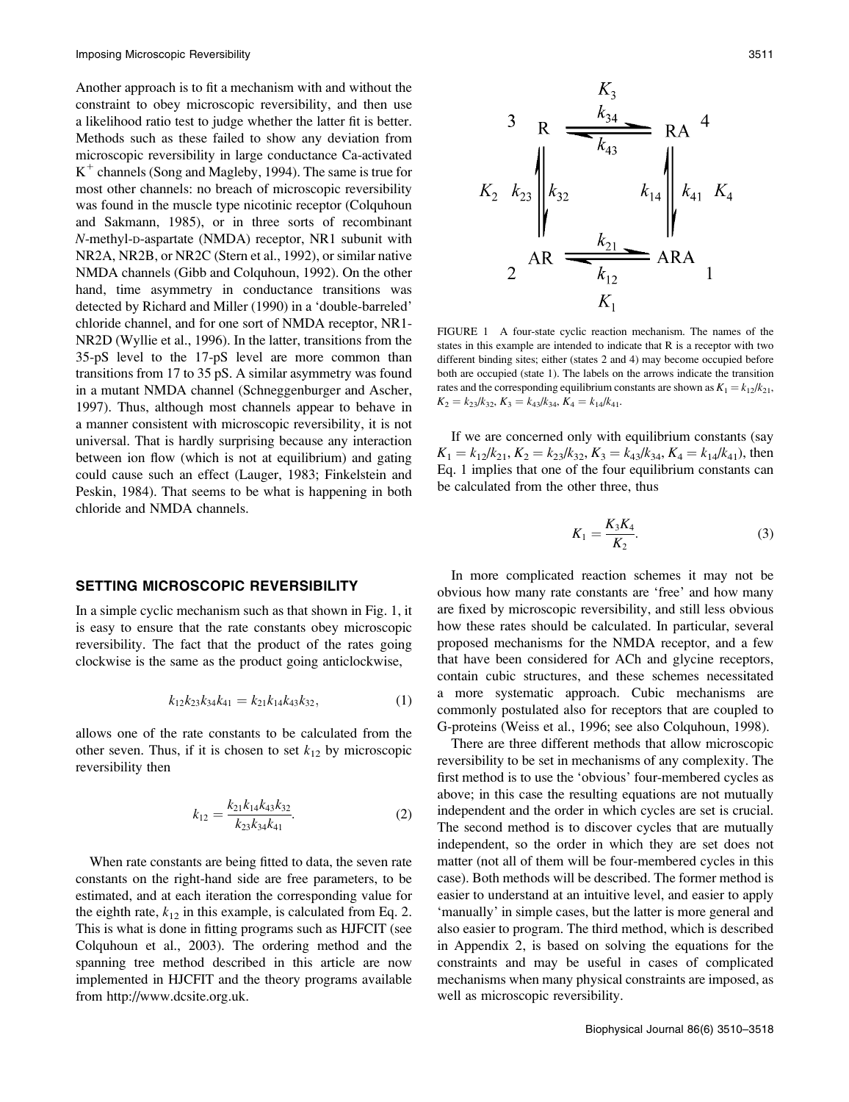Another approach is to fit a mechanism with and without the constraint to obey microscopic reversibility, and then use a likelihood ratio test to judge whether the latter fit is better. Methods such as these failed to show any deviation from microscopic reversibility in large conductance Ca-activated  $K^+$  channels (Song and Magleby, 1994). The same is true for most other channels: no breach of microscopic reversibility was found in the muscle type nicotinic receptor (Colquhoun and Sakmann, 1985), or in three sorts of recombinant N-methyl-D-aspartate (NMDA) receptor, NR1 subunit with NR2A, NR2B, or NR2C (Stern et al., 1992), or similar native NMDA channels (Gibb and Colquhoun, 1992). On the other hand, time asymmetry in conductance transitions was detected by Richard and Miller (1990) in a 'double-barreled' chloride channel, and for one sort of NMDA receptor, NR1- NR2D (Wyllie et al., 1996). In the latter, transitions from the 35-pS level to the 17-pS level are more common than transitions from 17 to 35 pS. A similar asymmetry was found in a mutant NMDA channel (Schneggenburger and Ascher, 1997). Thus, although most channels appear to behave in a manner consistent with microscopic reversibility, it is not universal. That is hardly surprising because any interaction between ion flow (which is not at equilibrium) and gating could cause such an effect (Lauger, 1983; Finkelstein and Peskin, 1984). That seems to be what is happening in both chloride and NMDA channels.

#### SETTING MICROSCOPIC REVERSIBILITY

In a simple cyclic mechanism such as that shown in Fig. 1, it is easy to ensure that the rate constants obey microscopic reversibility. The fact that the product of the rates going clockwise is the same as the product going anticlockwise,

$$
k_{12}k_{23}k_{34}k_{41} = k_{21}k_{14}k_{43}k_{32}, \t\t(1)
$$

allows one of the rate constants to be calculated from the other seven. Thus, if it is chosen to set  $k_{12}$  by microscopic reversibility then

$$
k_{12} = \frac{k_{21}k_{14}k_{43}k_{32}}{k_{23}k_{34}k_{41}}.\t(2)
$$

When rate constants are being fitted to data, the seven rate constants on the right-hand side are free parameters, to be estimated, and at each iteration the corresponding value for the eighth rate,  $k_{12}$  in this example, is calculated from Eq. 2. This is what is done in fitting programs such as HJFCIT (see Colquhoun et al., 2003). The ordering method and the spanning tree method described in this article are now implemented in HJCFIT and the theory programs available from http://www.dcsite.org.uk.



FIGURE 1 A four-state cyclic reaction mechanism. The names of the states in this example are intended to indicate that R is a receptor with two different binding sites; either (states 2 and 4) may become occupied before both are occupied (state 1). The labels on the arrows indicate the transition rates and the corresponding equilibrium constants are shown as  $K_1 = k_{12}/k_{21}$ ,  $K_2 = k_{23}/k_{32}$ ,  $K_3 = k_{43}/k_{34}$ ,  $K_4 = k_{14}/k_{41}$ .

If we are concerned only with equilibrium constants (say  $K_1 = k_{12}/k_{21}$ ,  $K_2 = k_{23}/k_{32}$ ,  $K_3 = k_{43}/k_{34}$ ,  $K_4 = k_{14}/k_{41}$ , then Eq. 1 implies that one of the four equilibrium constants can be calculated from the other three, thus

$$
K_1 = \frac{K_3 K_4}{K_2}.\t\t(3)
$$

In more complicated reaction schemes it may not be obvious how many rate constants are 'free' and how many are fixed by microscopic reversibility, and still less obvious how these rates should be calculated. In particular, several proposed mechanisms for the NMDA receptor, and a few that have been considered for ACh and glycine receptors, contain cubic structures, and these schemes necessitated a more systematic approach. Cubic mechanisms are commonly postulated also for receptors that are coupled to G-proteins (Weiss et al., 1996; see also Colquhoun, 1998).

There are three different methods that allow microscopic reversibility to be set in mechanisms of any complexity. The first method is to use the 'obvious' four-membered cycles as above; in this case the resulting equations are not mutually independent and the order in which cycles are set is crucial. The second method is to discover cycles that are mutually independent, so the order in which they are set does not matter (not all of them will be four-membered cycles in this case). Both methods will be described. The former method is easier to understand at an intuitive level, and easier to apply 'manually' in simple cases, but the latter is more general and also easier to program. The third method, which is described in Appendix 2, is based on solving the equations for the constraints and may be useful in cases of complicated mechanisms when many physical constraints are imposed, as well as microscopic reversibility.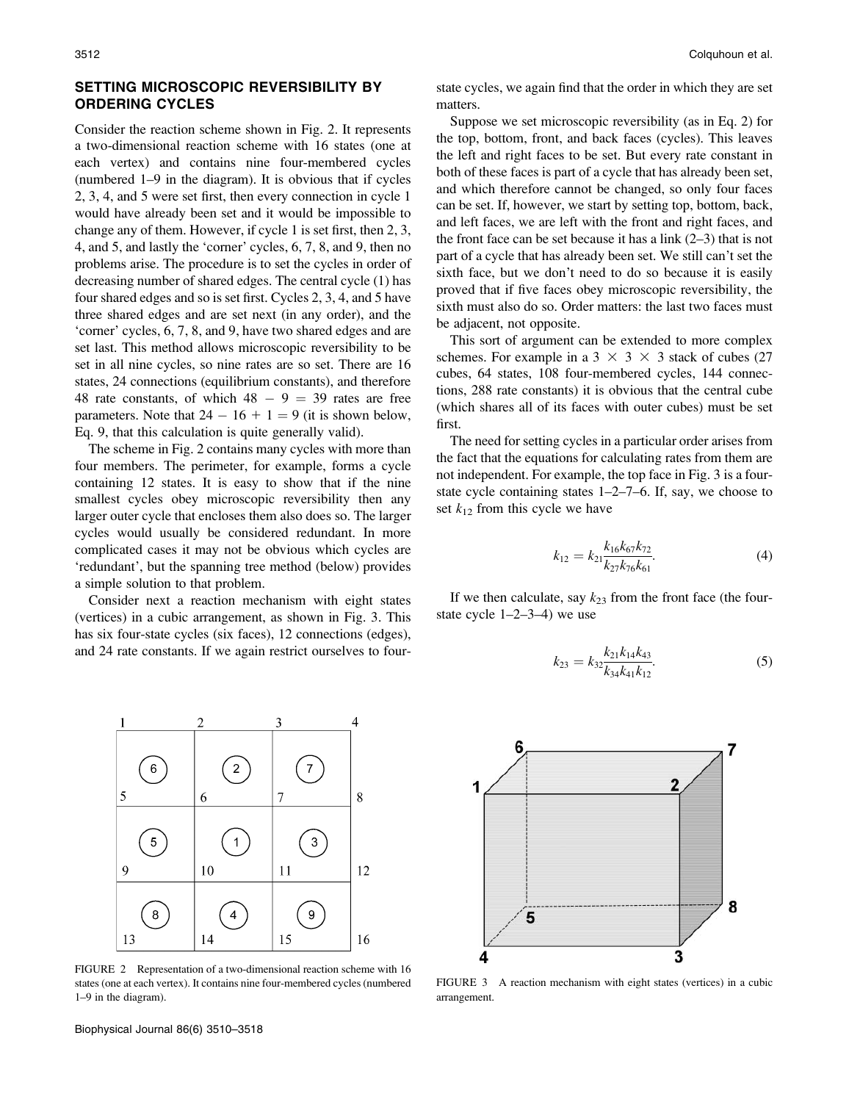# SETTING MICROSCOPIC REVERSIBILITY BY ORDERING CYCLES

Consider the reaction scheme shown in Fig. 2. It represents a two-dimensional reaction scheme with 16 states (one at each vertex) and contains nine four-membered cycles (numbered 1–9 in the diagram). It is obvious that if cycles 2, 3, 4, and 5 were set first, then every connection in cycle 1 would have already been set and it would be impossible to change any of them. However, if cycle 1 is set first, then 2, 3, 4, and 5, and lastly the 'corner' cycles, 6, 7, 8, and 9, then no problems arise. The procedure is to set the cycles in order of decreasing number of shared edges. The central cycle (1) has four shared edges and so is set first. Cycles 2, 3, 4, and 5 have three shared edges and are set next (in any order), and the 'corner' cycles, 6, 7, 8, and 9, have two shared edges and are set last. This method allows microscopic reversibility to be set in all nine cycles, so nine rates are so set. There are 16 states, 24 connections (equilibrium constants), and therefore 48 rate constants, of which  $48 - 9 = 39$  rates are free parameters. Note that  $24 - 16 + 1 = 9$  (it is shown below, Eq. 9, that this calculation is quite generally valid).

The scheme in Fig. 2 contains many cycles with more than four members. The perimeter, for example, forms a cycle containing 12 states. It is easy to show that if the nine smallest cycles obey microscopic reversibility then any larger outer cycle that encloses them also does so. The larger cycles would usually be considered redundant. In more complicated cases it may not be obvious which cycles are 'redundant', but the spanning tree method (below) provides a simple solution to that problem.

Consider next a reaction mechanism with eight states (vertices) in a cubic arrangement, as shown in Fig. 3. This has six four-state cycles (six faces), 12 connections (edges), and 24 rate constants. If we again restrict ourselves to four-



FIGURE 2 Representation of a two-dimensional reaction scheme with 16 states (one at each vertex). It contains nine four-membered cycles (numbered 1–9 in the diagram).

state cycles, we again find that the order in which they are set matters.

Suppose we set microscopic reversibility (as in Eq. 2) for the top, bottom, front, and back faces (cycles). This leaves the left and right faces to be set. But every rate constant in both of these faces is part of a cycle that has already been set, and which therefore cannot be changed, so only four faces can be set. If, however, we start by setting top, bottom, back, and left faces, we are left with the front and right faces, and the front face can be set because it has a link  $(2-3)$  that is not part of a cycle that has already been set. We still can't set the sixth face, but we don't need to do so because it is easily proved that if five faces obey microscopic reversibility, the sixth must also do so. Order matters: the last two faces must be adjacent, not opposite.

This sort of argument can be extended to more complex schemes. For example in a 3  $\times$  3  $\times$  3 stack of cubes (27 cubes, 64 states, 108 four-membered cycles, 144 connections, 288 rate constants) it is obvious that the central cube (which shares all of its faces with outer cubes) must be set first.

The need for setting cycles in a particular order arises from the fact that the equations for calculating rates from them are not independent. For example, the top face in Fig. 3 is a fourstate cycle containing states 1–2–7–6. If, say, we choose to set  $k_{12}$  from this cycle we have

$$
k_{12} = k_{21} \frac{k_{16} k_{67} k_{72}}{k_{27} k_{76} k_{61}}.
$$
 (4)

If we then calculate, say  $k_{23}$  from the front face (the fourstate cycle 1–2–3–4) we use

$$
k_{23} = k_{32} \frac{k_{21} k_{14} k_{43}}{k_{34} k_{41} k_{12}}.
$$
 (5)



FIGURE 3 A reaction mechanism with eight states (vertices) in a cubic arrangement.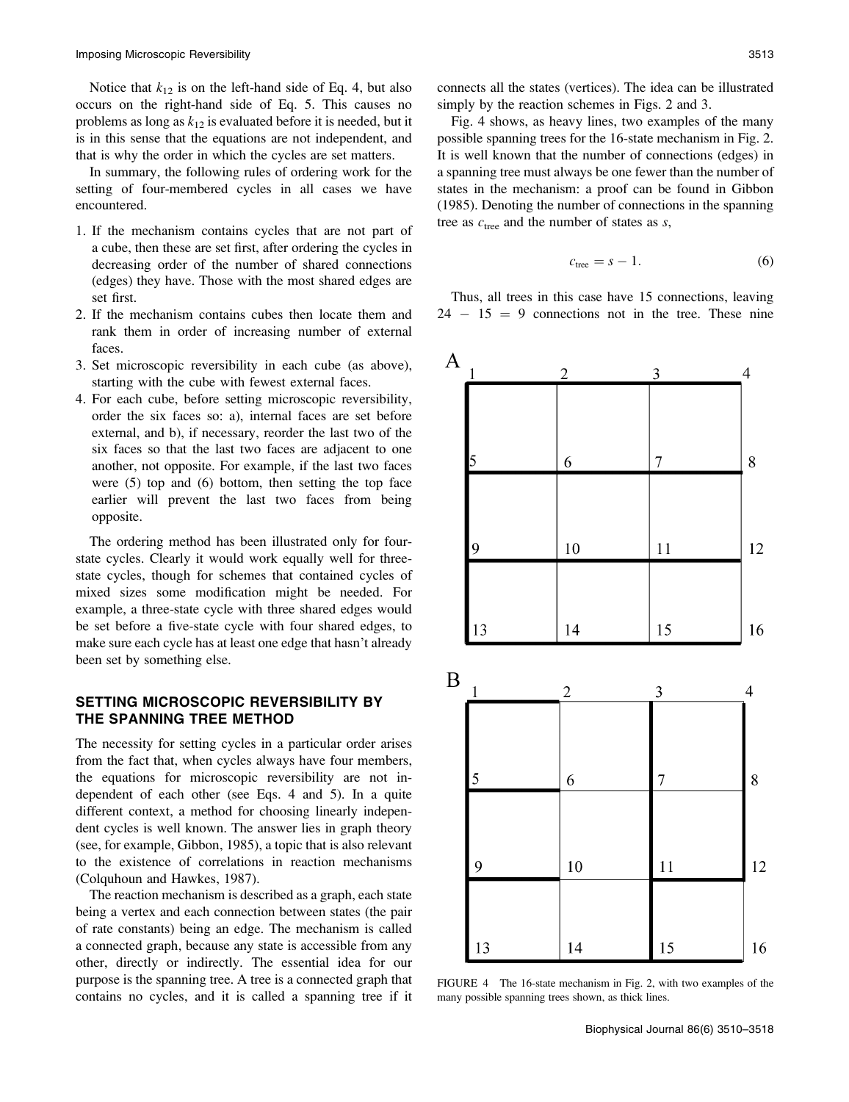Notice that  $k_{12}$  is on the left-hand side of Eq. 4, but also occurs on the right-hand side of Eq. 5. This causes no problems as long as  $k_{12}$  is evaluated before it is needed, but it is in this sense that the equations are not independent, and that is why the order in which the cycles are set matters.

In summary, the following rules of ordering work for the setting of four-membered cycles in all cases we have encountered.

- 1. If the mechanism contains cycles that are not part of a cube, then these are set first, after ordering the cycles in decreasing order of the number of shared connections (edges) they have. Those with the most shared edges are set first.
- 2. If the mechanism contains cubes then locate them and rank them in order of increasing number of external faces.
- 3. Set microscopic reversibility in each cube (as above), starting with the cube with fewest external faces.
- 4. For each cube, before setting microscopic reversibility, order the six faces so: a), internal faces are set before external, and b), if necessary, reorder the last two of the six faces so that the last two faces are adjacent to one another, not opposite. For example, if the last two faces were (5) top and (6) bottom, then setting the top face earlier will prevent the last two faces from being opposite.

The ordering method has been illustrated only for fourstate cycles. Clearly it would work equally well for threestate cycles, though for schemes that contained cycles of mixed sizes some modification might be needed. For example, a three-state cycle with three shared edges would be set before a five-state cycle with four shared edges, to make sure each cycle has at least one edge that hasn't already been set by something else.

# SETTING MICROSCOPIC REVERSIBILITY BY THE SPANNING TREE METHOD

The necessity for setting cycles in a particular order arises from the fact that, when cycles always have four members, the equations for microscopic reversibility are not independent of each other (see Eqs. 4 and 5). In a quite different context, a method for choosing linearly independent cycles is well known. The answer lies in graph theory (see, for example, Gibbon, 1985), a topic that is also relevant to the existence of correlations in reaction mechanisms (Colquhoun and Hawkes, 1987).

The reaction mechanism is described as a graph, each state being a vertex and each connection between states (the pair of rate constants) being an edge. The mechanism is called a connected graph, because any state is accessible from any other, directly or indirectly. The essential idea for our purpose is the spanning tree. A tree is a connected graph that contains no cycles, and it is called a spanning tree if it connects all the states (vertices). The idea can be illustrated simply by the reaction schemes in Figs. 2 and 3.

Fig. 4 shows, as heavy lines, two examples of the many possible spanning trees for the 16-state mechanism in Fig. 2. It is well known that the number of connections (edges) in a spanning tree must always be one fewer than the number of states in the mechanism: a proof can be found in Gibbon (1985). Denoting the number of connections in the spanning tree as  $c_{\text{tree}}$  and the number of states as s,

$$
c_{\text{tree}} = s - 1. \tag{6}
$$

Thus, all trees in this case have 15 connections, leaving  $24 - 15 = 9$  connections not in the tree. These nine



FIGURE 4 The 16-state mechanism in Fig. 2, with two examples of the many possible spanning trees shown, as thick lines.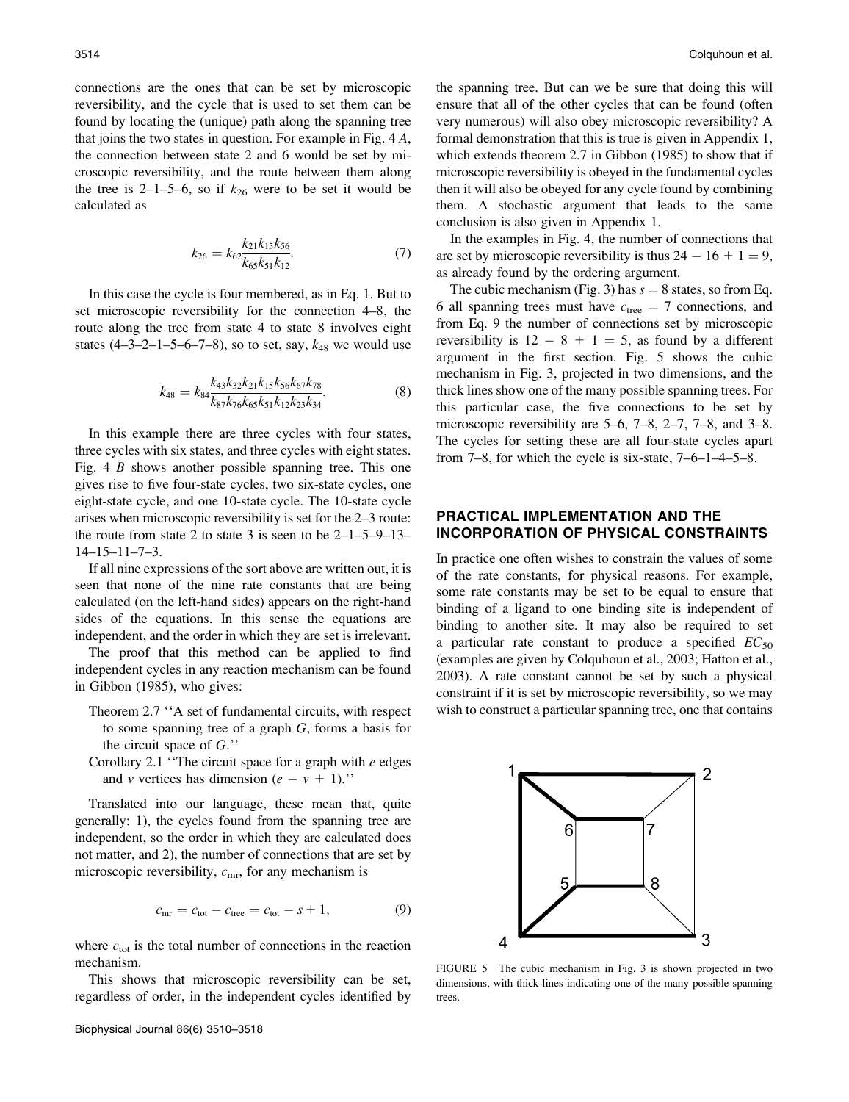connections are the ones that can be set by microscopic reversibility, and the cycle that is used to set them can be found by locating the (unique) path along the spanning tree that joins the two states in question. For example in Fig. 4 A, the connection between state 2 and 6 would be set by microscopic reversibility, and the route between them along the tree is 2–1–5–6, so if  $k_{26}$  were to be set it would be calculated as

$$
k_{26} = k_{62} \frac{k_{21} k_{15} k_{56}}{k_{65} k_{51} k_{12}}.\t\t(7)
$$

In this case the cycle is four membered, as in Eq. 1. But to set microscopic reversibility for the connection 4–8, the route along the tree from state 4 to state 8 involves eight states  $(4-3-2-1-5-6-7-8)$ , so to set, say,  $k_{48}$  we would use

$$
k_{48} = k_{84} \frac{k_{43} k_{32} k_{21} k_{15} k_{56} k_{67} k_{78}}{k_{87} k_{76} k_{65} k_{51} k_{12} k_{23} k_{34}}.
$$
(8)

In this example there are three cycles with four states, three cycles with six states, and three cycles with eight states. Fig. 4 B shows another possible spanning tree. This one gives rise to five four-state cycles, two six-state cycles, one eight-state cycle, and one 10-state cycle. The 10-state cycle arises when microscopic reversibility is set for the 2–3 route: the route from state 2 to state 3 is seen to be  $2-1-5-9-13-$ 14–15–11–7–3.

If all nine expressions of the sort above are written out, it is seen that none of the nine rate constants that are being calculated (on the left-hand sides) appears on the right-hand sides of the equations. In this sense the equations are independent, and the order in which they are set is irrelevant.

The proof that this method can be applied to find independent cycles in any reaction mechanism can be found in Gibbon (1985), who gives:

- Theorem 2.7 ''A set of fundamental circuits, with respect to some spanning tree of a graph G, forms a basis for the circuit space of  $G$ ."
- Corollary 2.1 "The circuit space for a graph with  $e$  edges and v vertices has dimension  $(e - v + 1)$ ."

Translated into our language, these mean that, quite generally: 1), the cycles found from the spanning tree are independent, so the order in which they are calculated does not matter, and 2), the number of connections that are set by microscopic reversibility,  $c_{\rm mr}$ , for any mechanism is

$$
c_{\rm mr} = c_{\rm tot} - c_{\rm tree} = c_{\rm tot} - s + 1, \tag{9}
$$

where  $c_{\text{tot}}$  is the total number of connections in the reaction mechanism.

This shows that microscopic reversibility can be set, regardless of order, in the independent cycles identified by

the spanning tree. But can we be sure that doing this will ensure that all of the other cycles that can be found (often very numerous) will also obey microscopic reversibility? A formal demonstration that this is true is given in Appendix 1, which extends theorem 2.7 in Gibbon (1985) to show that if microscopic reversibility is obeyed in the fundamental cycles then it will also be obeyed for any cycle found by combining them. A stochastic argument that leads to the same conclusion is also given in Appendix 1.

In the examples in Fig. 4, the number of connections that are set by microscopic reversibility is thus  $24 - 16 + 1 = 9$ , as already found by the ordering argument.

The cubic mechanism (Fig. 3) has  $s = 8$  states, so from Eq. 6 all spanning trees must have  $c_{\text{tree}} = 7$  connections, and from Eq. 9 the number of connections set by microscopic reversibility is  $12 - 8 + 1 = 5$ , as found by a different argument in the first section. Fig. 5 shows the cubic mechanism in Fig. 3, projected in two dimensions, and the thick lines show one of the many possible spanning trees. For this particular case, the five connections to be set by microscopic reversibility are 5–6, 7–8, 2–7, 7–8, and 3–8. The cycles for setting these are all four-state cycles apart from 7–8, for which the cycle is six-state, 7–6–1–4–5–8.

## PRACTICAL IMPLEMENTATION AND THE INCORPORATION OF PHYSICAL CONSTRAINTS

In practice one often wishes to constrain the values of some of the rate constants, for physical reasons. For example, some rate constants may be set to be equal to ensure that binding of a ligand to one binding site is independent of binding to another site. It may also be required to set a particular rate constant to produce a specified  $EC_{50}$ (examples are given by Colquhoun et al., 2003; Hatton et al., 2003). A rate constant cannot be set by such a physical constraint if it is set by microscopic reversibility, so we may wish to construct a particular spanning tree, one that contains



FIGURE 5 The cubic mechanism in Fig. 3 is shown projected in two dimensions, with thick lines indicating one of the many possible spanning trees.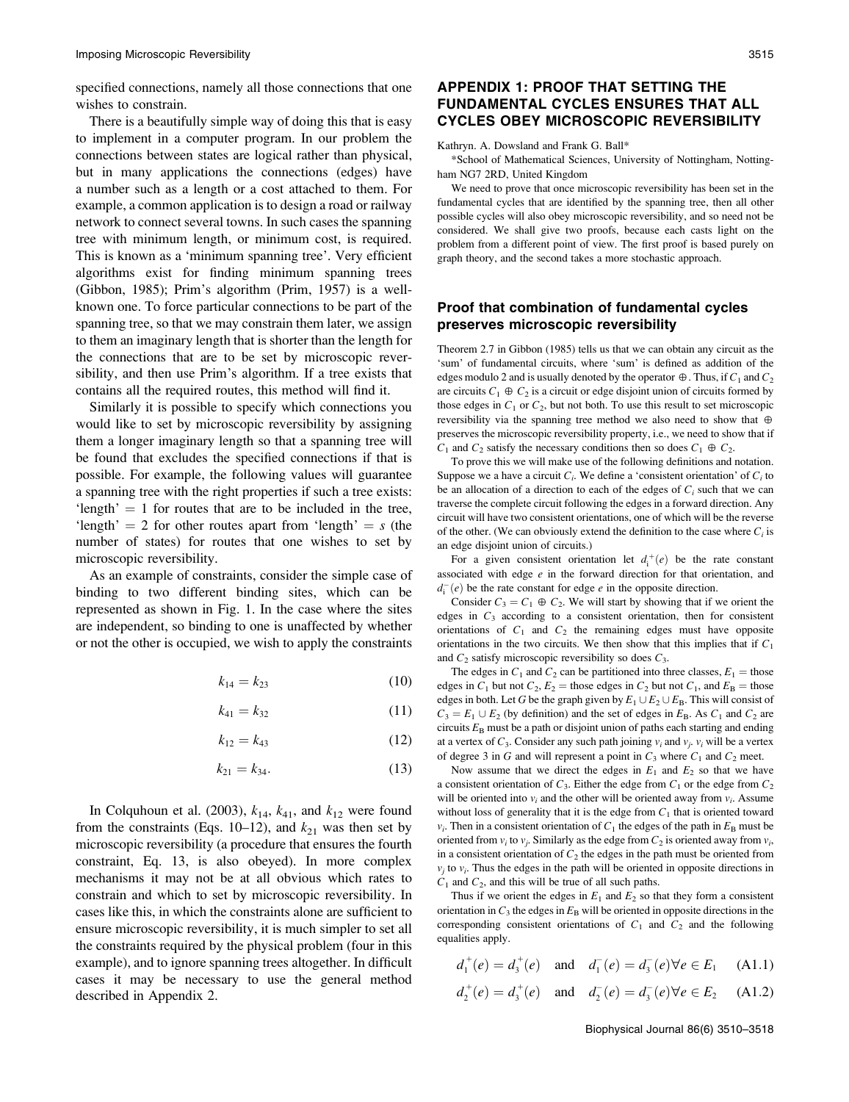specified connections, namely all those connections that one wishes to constrain.

There is a beautifully simple way of doing this that is easy to implement in a computer program. In our problem the connections between states are logical rather than physical, but in many applications the connections (edges) have a number such as a length or a cost attached to them. For example, a common application is to design a road or railway network to connect several towns. In such cases the spanning tree with minimum length, or minimum cost, is required. This is known as a 'minimum spanning tree'. Very efficient algorithms exist for finding minimum spanning trees (Gibbon, 1985); Prim's algorithm (Prim, 1957) is a wellknown one. To force particular connections to be part of the spanning tree, so that we may constrain them later, we assign to them an imaginary length that is shorter than the length for the connections that are to be set by microscopic reversibility, and then use Prim's algorithm. If a tree exists that contains all the required routes, this method will find it.

Similarly it is possible to specify which connections you would like to set by microscopic reversibility by assigning them a longer imaginary length so that a spanning tree will be found that excludes the specified connections if that is possible. For example, the following values will guarantee a spanning tree with the right properties if such a tree exists: 'length'  $= 1$  for routes that are to be included in the tree, 'length'  $= 2$  for other routes apart from 'length'  $= s$  (the number of states) for routes that one wishes to set by microscopic reversibility.

As an example of constraints, consider the simple case of binding to two different binding sites, which can be represented as shown in Fig. 1. In the case where the sites are independent, so binding to one is unaffected by whether or not the other is occupied, we wish to apply the constraints

$$
k_{14} = k_{23} \tag{10}
$$

$$
k_{41} = k_{32} \tag{11}
$$

$$
k_{12} = k_{43} \tag{12}
$$

$$
k_{21} = k_{34}.\tag{13}
$$

In Colquhoun et al. (2003),  $k_{14}$ ,  $k_{41}$ , and  $k_{12}$  were found from the constraints (Eqs. 10–12), and  $k_{21}$  was then set by microscopic reversibility (a procedure that ensures the fourth constraint, Eq. 13, is also obeyed). In more complex mechanisms it may not be at all obvious which rates to constrain and which to set by microscopic reversibility. In cases like this, in which the constraints alone are sufficient to ensure microscopic reversibility, it is much simpler to set all the constraints required by the physical problem (four in this example), and to ignore spanning trees altogether. In difficult cases it may be necessary to use the general method described in Appendix 2.

# APPENDIX 1: PROOF THAT SETTING THE FUNDAMENTAL CYCLES ENSURES THAT ALL CYCLES OBEY MICROSCOPIC REVERSIBILITY

Kathryn. A. Dowsland and Frank G. Ball\*

\*School of Mathematical Sciences, University of Nottingham, Nottingham NG7 2RD, United Kingdom

We need to prove that once microscopic reversibility has been set in the fundamental cycles that are identified by the spanning tree, then all other possible cycles will also obey microscopic reversibility, and so need not be considered. We shall give two proofs, because each casts light on the problem from a different point of view. The first proof is based purely on graph theory, and the second takes a more stochastic approach.

## Proof that combination of fundamental cycles preserves microscopic reversibility

Theorem 2.7 in Gibbon (1985) tells us that we can obtain any circuit as the 'sum' of fundamental circuits, where 'sum' is defined as addition of the edges modulo 2 and is usually denoted by the operator  $\oplus$ . Thus, if  $C_1$  and  $C_2$ are circuits  $C_1 \oplus C_2$  is a circuit or edge disjoint union of circuits formed by those edges in  $C_1$  or  $C_2$ , but not both. To use this result to set microscopic reversibility via the spanning tree method we also need to show that  $\oplus$ preserves the microscopic reversibility property, i.e., we need to show that if  $C_1$  and  $C_2$  satisfy the necessary conditions then so does  $C_1 \oplus C_2$ .

To prove this we will make use of the following definitions and notation. Suppose we a have a circuit  $C_i$ . We define a 'consistent orientation' of  $C_i$  to be an allocation of a direction to each of the edges of  $C_i$  such that we can traverse the complete circuit following the edges in a forward direction. Any circuit will have two consistent orientations, one of which will be the reverse of the other. (We can obviously extend the definition to the case where  $C_i$  is an edge disjoint union of circuits.)

For a given consistent orientation let  $d_i^+(e)$  be the rate constant associated with edge e in the forward direction for that orientation, and  $d_i^-(e)$  be the rate constant for edge e in the opposite direction.

Consider  $C_3 = C_1 \oplus C_2$ . We will start by showing that if we orient the edges in  $C_3$  according to a consistent orientation, then for consistent orientations of  $C_1$  and  $C_2$  the remaining edges must have opposite orientations in the two circuits. We then show that this implies that if  $C_1$ and  $C_2$  satisfy microscopic reversibility so does  $C_3$ .

The edges in  $C_1$  and  $C_2$  can be partitioned into three classes,  $E_1$  = those edges in  $C_1$  but not  $C_2$ ,  $E_2$  = those edges in  $C_2$  but not  $C_1$ , and  $E_B$  = those edges in both. Let G be the graph given by  $E_1 \cup E_2 \cup E_B$ . This will consist of  $C_3 = E_1 \cup E_2$  (by definition) and the set of edges in  $E_B$ . As  $C_1$  and  $C_2$  are circuits  $E_B$  must be a path or disjoint union of paths each starting and ending at a vertex of  $C_3$ . Consider any such path joining  $v_i$  and  $v_j$ ,  $v_i$  will be a vertex of degree 3 in G and will represent a point in  $C_3$  where  $C_1$  and  $C_2$  meet.

Now assume that we direct the edges in  $E_1$  and  $E_2$  so that we have a consistent orientation of  $C_3$ . Either the edge from  $C_1$  or the edge from  $C_2$ will be oriented into  $v_i$  and the other will be oriented away from  $v_i$ . Assume without loss of generality that it is the edge from  $C_1$  that is oriented toward  $v_i$ . Then in a consistent orientation of  $C_1$  the edges of the path in  $E_\text{B}$  must be oriented from  $v_i$  to  $v_j$ . Similarly as the edge from  $C_2$  is oriented away from  $v_i$ , in a consistent orientation of  $C_2$  the edges in the path must be oriented from  $v_j$  to  $v_i$ . Thus the edges in the path will be oriented in opposite directions in  $C_1$  and  $C_2$ , and this will be true of all such paths.

Thus if we orient the edges in  $E_1$  and  $E_2$  so that they form a consistent orientation in  $C_3$  the edges in  $E_B$  will be oriented in opposite directions in the corresponding consistent orientations of  $C_1$  and  $C_2$  and the following equalities apply.

$$
d_1^+(e) = d_3^+(e)
$$
 and  $d_1^-(e) = d_3^-(e) \forall e \in E_1$  (A1.1)

$$
d_2^+(e) = d_3^+(e)
$$
 and  $d_2^-(e) = d_3^-(e) \forall e \in E_2$  (A1.2)

Biophysical Journal 86(6) 3510–3518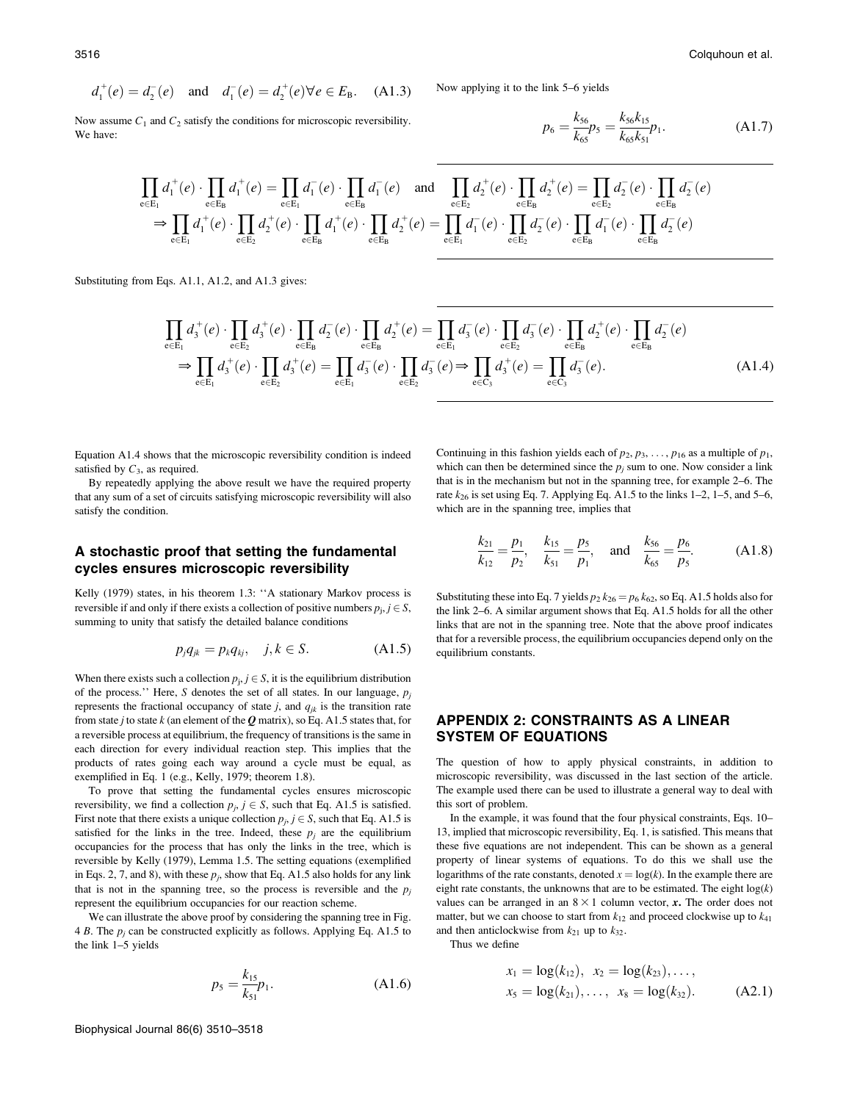$$
d_1^+(e) = d_2^-(e)
$$
 and  $d_1^-(e) = d_2^+(e) \forall e \in E_B$ . (A1.3)

Now assume  $C_1$  and  $C_2$  satisfy the conditions for microscopic reversibility. We have:

Now applying it to the link 5–6 yields

$$
p_6 = \frac{k_{56}}{k_{65}} p_5 = \frac{k_{56}k_{15}}{k_{65}k_{51}} p_1.
$$
 (A1.7)

$$
\prod_{e \in E_1} d_1^+(e) \cdot \prod_{e \in E_B} d_1^+(e) = \prod_{e \in E_1} d_1^-(e) \cdot \prod_{e \in E_B} d_1^-(e) \text{ and } \prod_{e \in E_2} d_2^+(e) \cdot \prod_{e \in E_B} d_2^+(e) = \prod_{e \in E_2} d_2^-(e) \cdot \prod_{e \in E_B} d_2^-(e) \cdot \prod_{e \in E_B} d_2^-(e)
$$
  
\n
$$
\Rightarrow \prod_{e \in E_1} d_1^+(e) \cdot \prod_{e \in E_2} d_2^+(e) \cdot \prod_{e \in E_B} d_1^+(e) \cdot \prod_{e \in E_B} d_2^-(e) = \prod_{e \in E_1} d_1^-(e) \cdot \prod_{e \in E_B} d_2^-(e) \cdot \prod_{e \in E_B} d_2^-(e)
$$

Substituting from Eqs. A1.1, A1.2, and A1.3 gives:

$$
\prod_{e \in E_1} d_3^+(e) \cdot \prod_{e \in E_2} d_3^+(e) \cdot \prod_{e \in E_B} d_2^-(e) \cdot \prod_{e \in E_B} d_2^+(e) = \prod_{e \in E_1} d_3^-(e) \cdot \prod_{e \in E_2} d_3^-(e) \cdot \prod_{e \in E_B} d_3^+(e) \cdot \prod_{e \in E_B} d_2^-(e)
$$
\n
$$
\Rightarrow \prod_{e \in E_1} d_3^+(e) \cdot \prod_{e \in E_2} d_3^+(e) = \prod_{e \in E_1} d_3^-(e) \cdot \prod_{e \in E_2} d_3^-(e) \Rightarrow \prod_{e \in C_3} d_3^+(e) = \prod_{e \in C_3} d_3^-(e).
$$
\n(A1.4)

Equation A1.4 shows that the microscopic reversibility condition is indeed satisfied by  $C_3$ , as required.

By repeatedly applying the above result we have the required property that any sum of a set of circuits satisfying microscopic reversibility will also satisfy the condition.

#### A stochastic proof that setting the fundamental cycles ensures microscopic reversibility

Kelly (1979) states, in his theorem 1.3: "A stationary Markov process is reversible if and only if there exists a collection of positive numbers  $p_i$ ,  $j \in S$ , summing to unity that satisfy the detailed balance conditions

$$
p_j q_{jk} = p_k q_{kj}, \quad j, k \in S. \tag{A1.5}
$$

When there exists such a collection  $p_j$ ,  $j \in S$ , it is the equilibrium distribution of the process.'' Here, S denotes the set of all states. In our language,  $p_j$ represents the fractional occupancy of state  $j$ , and  $q_{jk}$  is the transition rate from state j to state  $k$  (an element of the  $Q$  matrix), so Eq. A1.5 states that, for a reversible process at equilibrium, the frequency of transitions is the same in each direction for every individual reaction step. This implies that the products of rates going each way around a cycle must be equal, as exemplified in Eq. 1 (e.g., Kelly, 1979; theorem 1.8).

To prove that setting the fundamental cycles ensures microscopic reversibility, we find a collection  $p_j$ ,  $j \in S$ , such that Eq. A1.5 is satisfied. First note that there exists a unique collection  $p_i$ ,  $j \in S$ , such that Eq. A1.5 is satisfied for the links in the tree. Indeed, these  $p_j$  are the equilibrium occupancies for the process that has only the links in the tree, which is reversible by Kelly (1979), Lemma 1.5. The setting equations (exemplified in Eqs. 2, 7, and 8), with these  $p_j$ , show that Eq. A1.5 also holds for any link that is not in the spanning tree, so the process is reversible and the  $p_i$ represent the equilibrium occupancies for our reaction scheme.

We can illustrate the above proof by considering the spanning tree in Fig. 4 B. The  $p_i$  can be constructed explicitly as follows. Applying Eq. A1.5 to the link 1–5 yields

$$
p_5 = \frac{k_{15}}{k_{51}} p_1.
$$
 (A1.6)

Continuing in this fashion yields each of  $p_2, p_3, \ldots, p_{16}$  as a multiple of  $p_1$ , which can then be determined since the  $p_i$  sum to one. Now consider a link that is in the mechanism but not in the spanning tree, for example 2–6. The rate  $k_{26}$  is set using Eq. 7. Applying Eq. A1.5 to the links 1–2, 1–5, and 5–6, which are in the spanning tree, implies that

$$
\frac{k_{21}}{k_{12}} = \frac{p_1}{p_2}, \quad \frac{k_{15}}{k_{51}} = \frac{p_5}{p_1}, \quad \text{and} \quad \frac{k_{56}}{k_{65}} = \frac{p_6}{p_5}.
$$
 (A1.8)

Substituting these into Eq. 7 yields  $p_2 k_{26} = p_6 k_{62}$ , so Eq. A1.5 holds also for the link 2–6. A similar argument shows that Eq. A1.5 holds for all the other links that are not in the spanning tree. Note that the above proof indicates that for a reversible process, the equilibrium occupancies depend only on the equilibrium constants.

# APPENDIX 2: CONSTRAINTS AS A LINEAR SYSTEM OF EQUATIONS

The question of how to apply physical constraints, in addition to microscopic reversibility, was discussed in the last section of the article. The example used there can be used to illustrate a general way to deal with this sort of problem.

In the example, it was found that the four physical constraints, Eqs. 10– 13, implied that microscopic reversibility, Eq. 1, is satisfied. This means that these five equations are not independent. This can be shown as a general property of linear systems of equations. To do this we shall use the logarithms of the rate constants, denoted  $x = \log(k)$ . In the example there are eight rate constants, the unknowns that are to be estimated. The eight  $log(k)$ values can be arranged in an  $8 \times 1$  column vector, x. The order does not matter, but we can choose to start from  $k_{12}$  and proceed clockwise up to  $k_{41}$ and then anticlockwise from  $k_{21}$  up to  $k_{32}$ .

Thus we define

$$
x_1 = \log(k_{12}), \ x_2 = \log(k_{23}), \dots, \n x_5 = \log(k_{21}), \dots, \ x_8 = \log(k_{32}).
$$
\n(A2.1)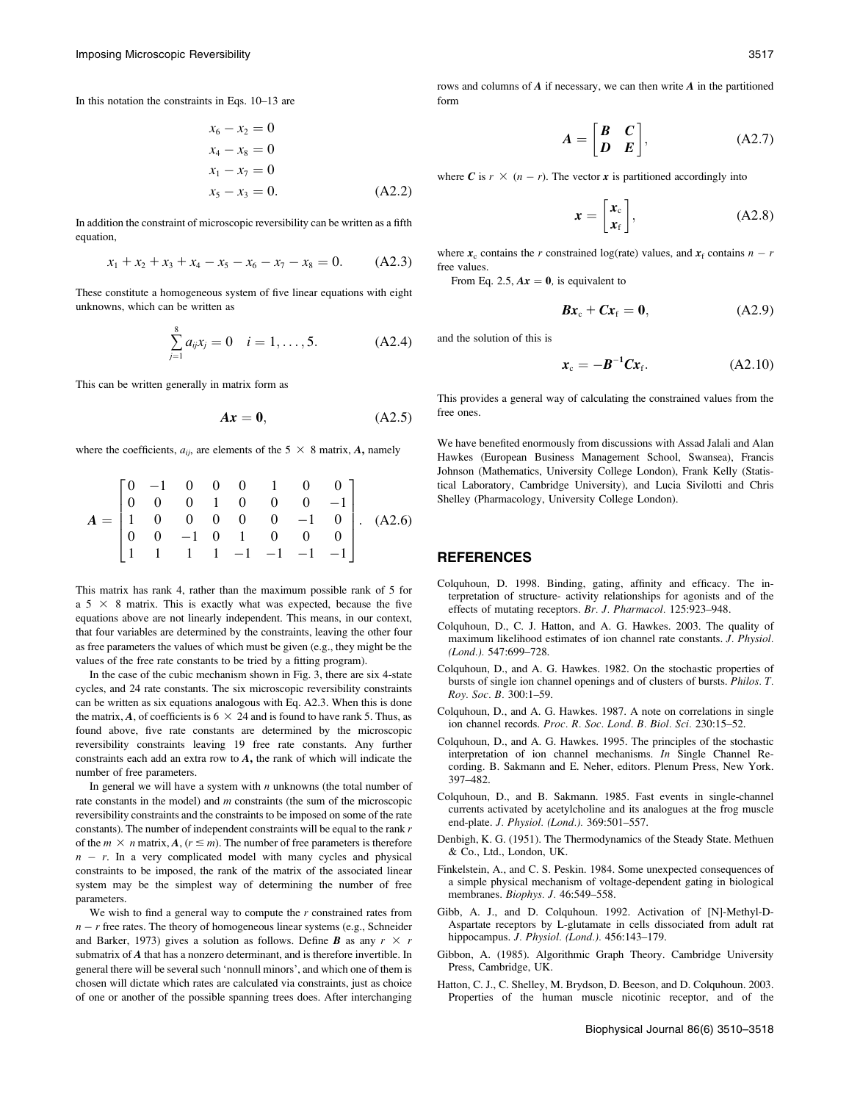In this notation the constraints in Eqs. 10–13 are

$$
x_6 - x_2 = 0
$$
  
\n
$$
x_4 - x_8 = 0
$$
  
\n
$$
x_1 - x_7 = 0
$$
  
\n
$$
x_5 - x_3 = 0.
$$
  
\n(A2.2)

In addition the constraint of microscopic reversibility can be written as a fifth equation,

$$
x_1 + x_2 + x_3 + x_4 - x_5 - x_6 - x_7 - x_8 = 0. \tag{A2.3}
$$

These constitute a homogeneous system of five linear equations with eight unknowns, which can be written as

$$
\sum_{j=1}^{8} a_{ij} x_j = 0 \quad i = 1, ..., 5. \tag{A2.4}
$$

This can be written generally in matrix form as

$$
Ax = 0, \tag{A2.5}
$$

where the coefficients,  $a_{ij}$ , are elements of the 5  $\times$  8 matrix, A, namely

$$
A = \begin{bmatrix} 0 & -1 & 0 & 0 & 0 & 1 & 0 & 0 \\ 0 & 0 & 0 & 1 & 0 & 0 & 0 & -1 \\ 1 & 0 & 0 & 0 & 0 & 0 & -1 & 0 \\ 0 & 0 & -1 & 0 & 1 & 0 & 0 & 0 \\ 1 & 1 & 1 & 1 & -1 & -1 & -1 & -1 \end{bmatrix} . (A2.6)
$$

This matrix has rank 4, rather than the maximum possible rank of 5 for a  $5 \times 8$  matrix. This is exactly what was expected, because the five equations above are not linearly independent. This means, in our context, that four variables are determined by the constraints, leaving the other four as free parameters the values of which must be given (e.g., they might be the values of the free rate constants to be tried by a fitting program).

In the case of the cubic mechanism shown in Fig. 3, there are six 4-state cycles, and 24 rate constants. The six microscopic reversibility constraints can be written as six equations analogous with Eq. A2.3. When this is done the matrix, A, of coefficients is  $6 \times 24$  and is found to have rank 5. Thus, as found above, five rate constants are determined by the microscopic reversibility constraints leaving 19 free rate constants. Any further constraints each add an extra row to  $A$ , the rank of which will indicate the number of free parameters.

In general we will have a system with  $n$  unknowns (the total number of rate constants in the model) and m constraints (the sum of the microscopic reversibility constraints and the constraints to be imposed on some of the rate constants). The number of independent constraints will be equal to the rank r of the  $m \times n$  matrix,  $A, (r \le m)$ . The number of free parameters is therefore  $n - r$ . In a very complicated model with many cycles and physical constraints to be imposed, the rank of the matrix of the associated linear system may be the simplest way of determining the number of free parameters.

We wish to find a general way to compute the  $r$  constrained rates from  $n - r$  free rates. The theory of homogeneous linear systems (e.g., Schneider and Barker, 1973) gives a solution as follows. Define **B** as any  $r \times r$ submatrix of A that has a nonzero determinant, and is therefore invertible. In general there will be several such 'nonnull minors', and which one of them is chosen will dictate which rates are calculated via constraints, just as choice of one or another of the possible spanning trees does. After interchanging

rows and columns of  $A$  if necessary, we can then write  $A$  in the partitioned form

$$
A = \begin{bmatrix} B & C \\ D & E \end{bmatrix}, \tag{A2.7}
$$

where C is  $r \times (n - r)$ . The vector x is partitioned accordingly into

$$
\mathbf{x} = \begin{bmatrix} \mathbf{x}_c \\ \mathbf{x}_f \end{bmatrix},\tag{A2.8}
$$

where  $x_c$  contains the r constrained log(rate) values, and  $x_f$  contains  $n - r$ free values.

From Eq. 2.5,  $Ax = 0$ , is equivalent to

$$
Bx_{c} + Cx_{f} = 0, \qquad (A2.9)
$$

and the solution of this is

$$
\boldsymbol{x}_{\rm c} = -\boldsymbol{B}^{-1}\boldsymbol{C}\boldsymbol{x}_{\rm f}.\tag{A2.10}
$$

This provides a general way of calculating the constrained values from the free ones.

We have benefited enormously from discussions with Assad Jalali and Alan Hawkes (European Business Management School, Swansea), Francis Johnson (Mathematics, University College London), Frank Kelly (Statistical Laboratory, Cambridge University), and Lucia Sivilotti and Chris Shelley (Pharmacology, University College London).

#### REFERENCES

- Colquhoun, D. 1998. Binding, gating, affinity and efficacy. The interpretation of structure- activity relationships for agonists and of the effects of mutating receptors. Br. J. Pharmacol. 125:923–948.
- Colquhoun, D., C. J. Hatton, and A. G. Hawkes. 2003. The quality of maximum likelihood estimates of ion channel rate constants. J. Physiol. (Lond.). 547:699–728.
- Colquhoun, D., and A. G. Hawkes. 1982. On the stochastic properties of bursts of single ion channel openings and of clusters of bursts. Philos. T. Roy. Soc. B. 300:1–59.
- Colquhoun, D., and A. G. Hawkes. 1987. A note on correlations in single ion channel records. Proc. R. Soc. Lond. B. Biol. Sci. 230:15–52.
- Colquhoun, D., and A. G. Hawkes. 1995. The principles of the stochastic interpretation of ion channel mechanisms. In Single Channel Recording. B. Sakmann and E. Neher, editors. Plenum Press, New York. 397–482.
- Colquhoun, D., and B. Sakmann. 1985. Fast events in single-channel currents activated by acetylcholine and its analogues at the frog muscle end-plate. J. Physiol. (Lond.). 369:501–557.
- Denbigh, K. G. (1951). The Thermodynamics of the Steady State. Methuen & Co., Ltd., London, UK.
- Finkelstein, A., and C. S. Peskin. 1984. Some unexpected consequences of a simple physical mechanism of voltage-dependent gating in biological membranes. Biophys. J. 46:549–558.
- Gibb, A. J., and D. Colquhoun. 1992. Activation of [N]-Methyl-D-Aspartate receptors by L-glutamate in cells dissociated from adult rat hippocampus. J. Physiol. (Lond.). 456:143–179.
- Gibbon, A. (1985). Algorithmic Graph Theory. Cambridge University Press, Cambridge, UK.
- Hatton, C. J., C. Shelley, M. Brydson, D. Beeson, and D. Colquhoun. 2003. Properties of the human muscle nicotinic receptor, and of the